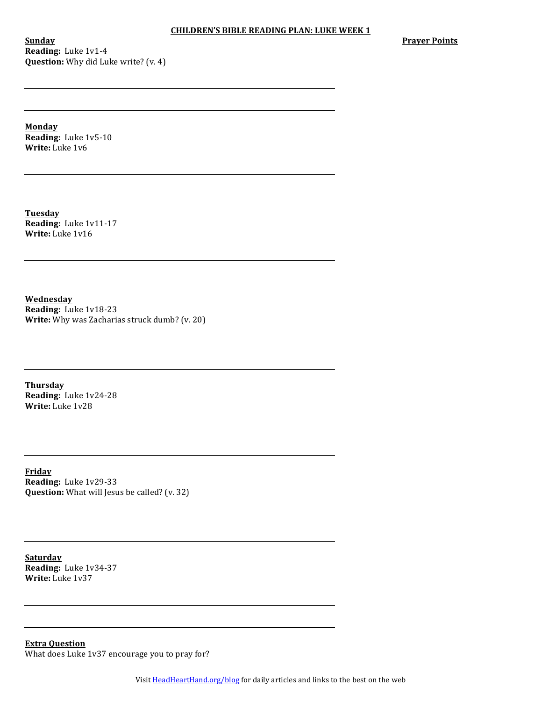**Sunday Reading:** Luke 1v1-4 **Question:** Why did Luke write? (v. 4) **Prayer Points** 

**Monday Reading:** Luke 1v5-10 **Write:** Luke 1v6

**Tuesday Reading:** Luke 1v11-17 **Write:** Luke 1v16

**Wednesday Reading:** Luke 1v18-23 **Write:** Why was Zacharias struck dumb? (v. 20)

**Thursday Reading:** Luke 1v24-28 **Write:** Luke 1v28

**Friday Reading:** Luke 1v29-33 **Question:** What will Jesus be called? (v. 32)

**Saturday Reading:** Luke 1v34-37 **Write:** Luke 1v37

**Extra Question** What does Luke 1v37 encourage you to pray for?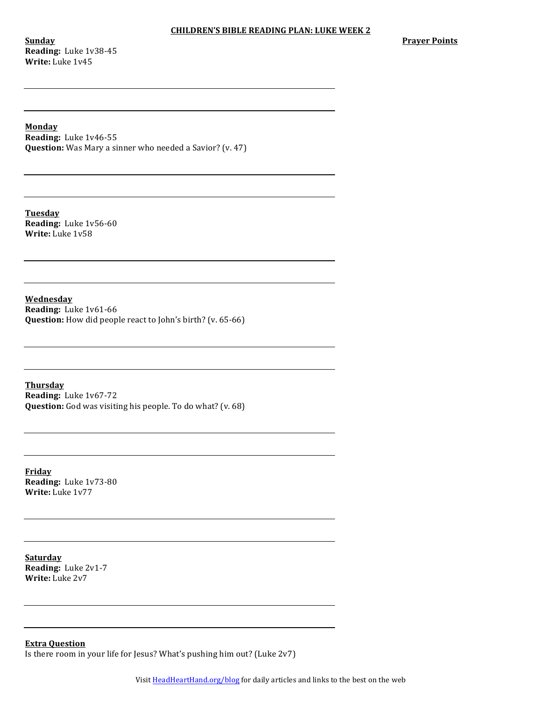**Sunday Reading:** Luke 1v38-45 **Write:** Luke 1v45

# **Monday**

**Reading:** Luke 1v46-55 **Question:** Was Mary a sinner who needed a Savior? (v. 47)

**Tuesday Reading:** Luke 1v56-60 **Write:** Luke 1v58

**Wednesday Reading:** Luke 1v61-66 **Question:** How did people react to John's birth? (v. 65-66)

**Thursday Reading:** Luke 1v67-72 **Question:** God was visiting his people. To do what? (v. 68)

**Friday Reading:** Luke 1v73-80 **Write:** Luke 1v77

**Saturday Reading:** Luke 2v1-7 **Write:** Luke 2v7

**Extra Question** Is there room in your life for Jesus? What's pushing him out? (Luke  $2v7$ )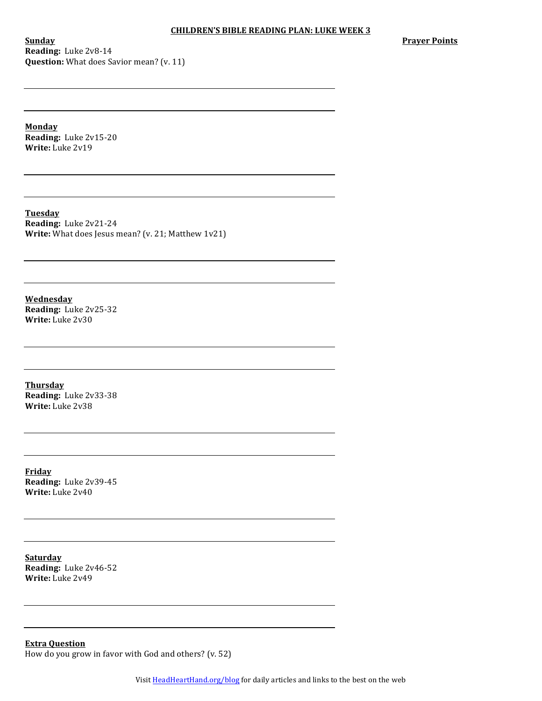**Sunday Reading:** Luke 2v8-14 **Question:** What does Savior mean? (v. 11) **Prayer Points** 

**Monday Reading:** Luke 2v15-20 **Write:** Luke 2v19

**Tuesday Reading:** Luke 2v21-24 **Write:** What does Jesus mean? (v. 21; Matthew 1v21)

**Wednesday Reading:** Luke 2v25-32 **Write:** Luke 2v30

**Thursday Reading:** Luke 2v33-38 **Write:** Luke 2v38

**Friday Reading:** Luke 2v39-45 **Write:** Luke 2v40

**Saturday Reading:** Luke 2v46-52 **Write:** Luke 2v49

**Extra Question** How do you grow in favor with God and others?  $(v. 52)$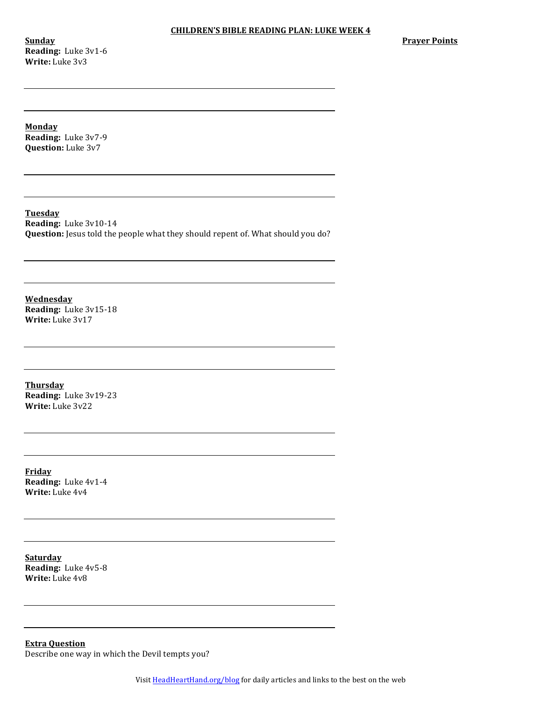**Sunday Reading:** Luke 3v1-6 **Write:** Luke 3v3

**Prayer Points** 

**Monday Reading:** Luke 3v7-9

**Question:** Luke 3v7

**Tuesday Reading:** Luke 3v10-14 **Question:** Jesus told the people what they should repent of. What should you do?

**Wednesday Reading:** Luke 3v15-18 **Write:** Luke 3v17

**Thursday Reading:** Luke 3v19-23 **Write:** Luke 3v22

**Friday Reading:** Luke 4v1-4 **Write:** Luke 4v4

**Saturday Reading:** Luke 4v5-8 **Write:** Luke 4v8

**Extra Question** Describe one way in which the Devil tempts you?

Visit HeadHeartHand.org/blog for daily articles and links to the best on the web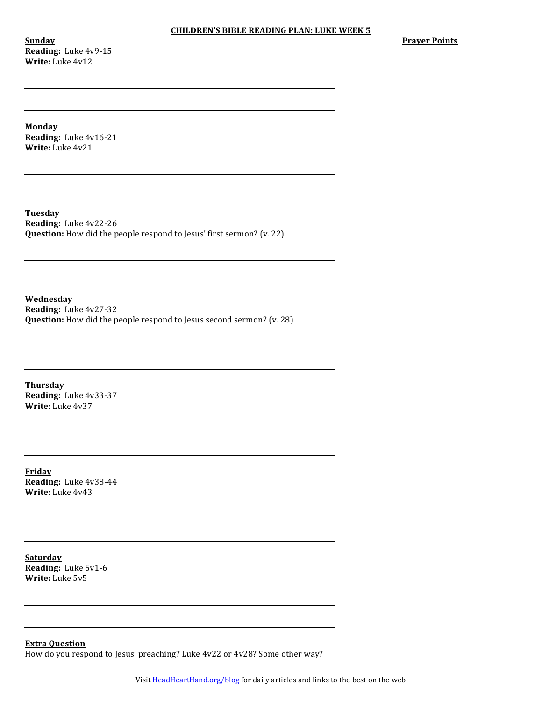**Sunday Reading:** Luke 4v9-15 **Write:** Luke 4v12

**Prayer Points** 

**Monday**

**Reading:** Luke 4v16-21 **Write:** Luke 4v21

**Tuesday Reading:** Luke 4v22-26 **Question:** How did the people respond to Jesus' first sermon? (v. 22)

**Wednesday Reading:** Luke 4v27-32 **Question:** How did the people respond to Jesus second sermon? (v. 28)

**Thursday Reading:** Luke 4v33-37 **Write:** Luke 4v37

**Friday Reading:** Luke 4v38-44 **Write:** Luke 4v43

**Saturday Reading:** Luke 5v1-6 **Write:** Luke 5v5

**Extra Question**

How do you respond to Jesus' preaching? Luke  $4v22$  or  $4v28$ ? Some other way?

Visit HeadHeartHand.org/blog for daily articles and links to the best on the web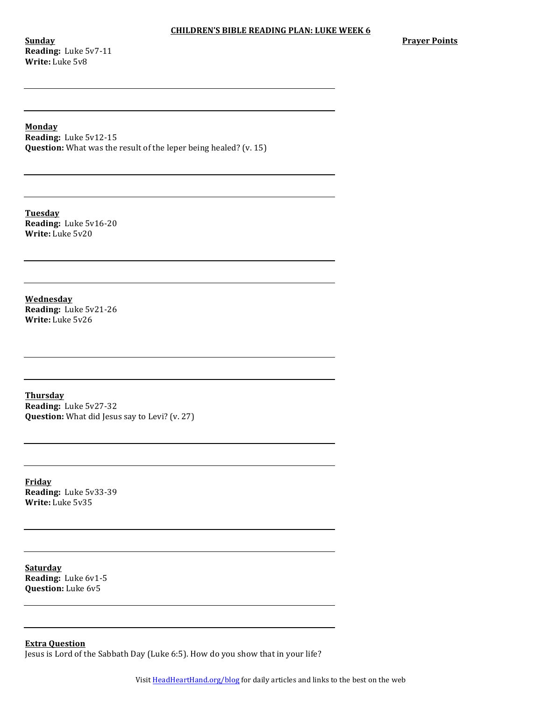**Sunday Reading:** Luke 5v7-11 **Write:** Luke 5v8

# **Monday**

**Reading:** Luke 5v12-15 **Question:** What was the result of the leper being healed? (v. 15)

**Tuesday Reading:** Luke 5v16-20 **Write:** Luke 5v20

**Wednesday Reading:** Luke 5v21-26 **Write:** Luke 5v26

**Thursday Reading:** Luke 5v27-32 **Question:** What did Jesus say to Levi? (v. 27)

**Friday Reading:** Luke 5v33-39 **Write:** Luke 5v35

**Saturday Reading:** Luke 6v1-5 **Question:** Luke 6v5

**Extra Question** Jesus is Lord of the Sabbath Day (Luke 6:5). How do you show that in your life?

Visit HeadHeartHand.org/blog for daily articles and links to the best on the web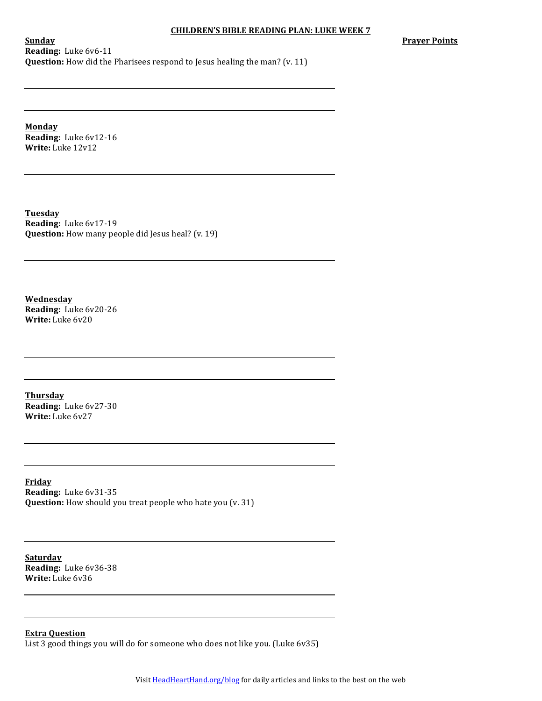**Prayer Points** 

**Sunday Reading:** Luke 6v6-11 **Question:** How did the Pharisees respond to Jesus healing the man? (v. 11)

**Monday Reading:** Luke 6v12-16 **Write:** Luke 12v12

**Tuesday Reading:** Luke 6v17-19 **Question:** How many people did Jesus heal? (v. 19)

**Wednesday Reading:** Luke 6v20-26 **Write:** Luke 6v20

**Thursday Reading:** Luke 6v27-30 **Write:** Luke 6v27

**Friday Reading:** Luke 6v31-35 **Question:** How should you treat people who hate you (v. 31)

**Saturday Reading:** Luke 6v36-38 **Write:** Luke 6v36

**Extra Question**

List 3 good things you will do for someone who does not like you. (Luke 6v35)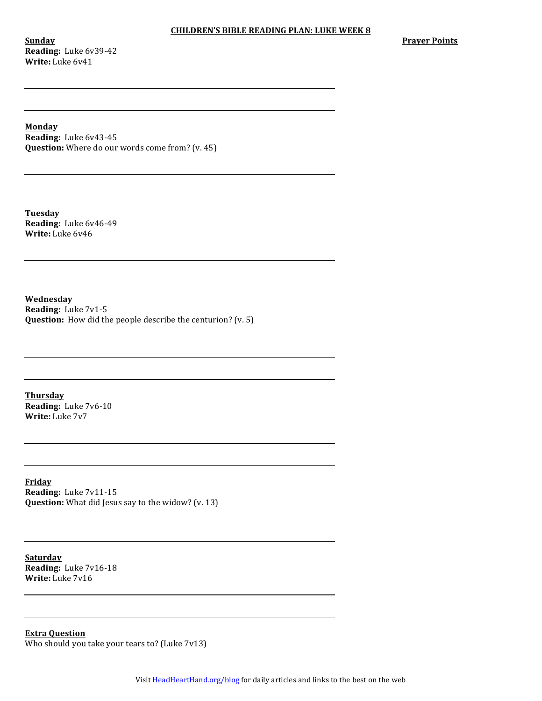**Sunday Reading:** Luke 6v39-42 **Write:** Luke 6v41

**Prayer Points** 

**Monday**

**Reading:** Luke 6v43-45 **Question:** Where do our words come from? (v. 45)

**Tuesday Reading:** Luke 6v46-49 **Write:** Luke 6v46

**Wednesday Reading:** Luke 7v1-5 **Question:** How did the people describe the centurion? (v. 5)

**Thursday Reading:** Luke 7v6-10 **Write:** Luke 7v7

**Friday Reading:** Luke 7v11-15 **Question:** What did Jesus say to the widow? (v. 13)

**Saturday Reading:** Luke 7v16-18 **Write:** Luke 7v16

**Extra Question** Who should you take your tears to? (Luke  $7v13$ )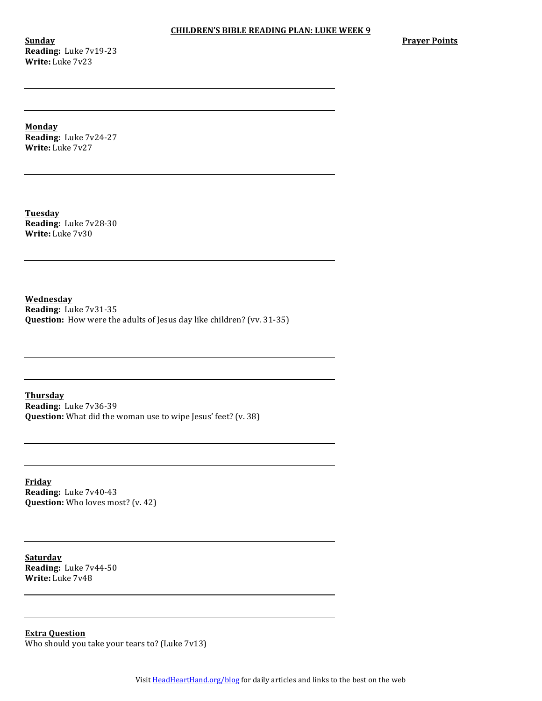**Sunday Reading:** Luke 7v19-23 **Write:** Luke 7v23

**Prayer Points** 

**Monday**

**Reading:** Luke 7v24-27 **Write:** Luke 7v27

**Tuesday Reading:** Luke 7v28-30 **Write:** Luke 7v30

**Wednesday Reading:** Luke 7v31-35 **Question:** How were the adults of Jesus day like children? (vv. 31-35)

**Thursday Reading:** Luke 7v36-39 **Question:** What did the woman use to wipe Jesus' feet? (v. 38)

**Friday Reading:** Luke 7v40-43 **Question:** Who loves most? (v. 42)

**Saturday Reading:** Luke 7v44-50 **Write:** Luke 7v48

**Extra Question** Who should you take your tears to? (Luke 7v13)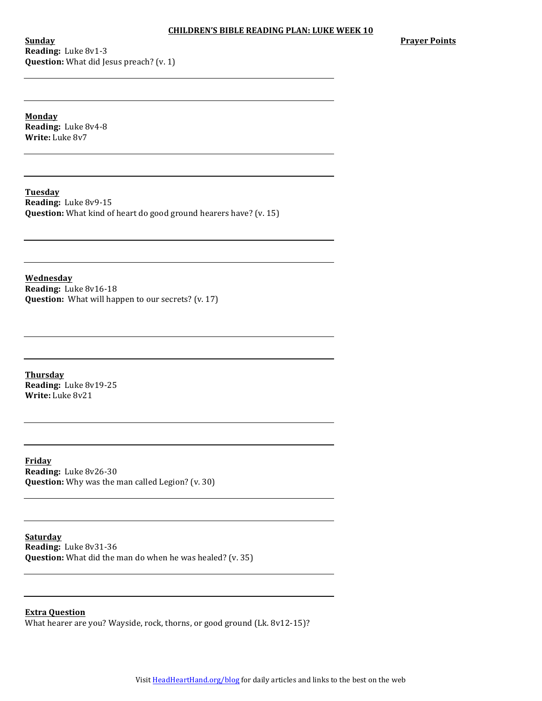**Sunday Reading:** Luke 8v1-3 **Question:** What did Jesus preach? (v. 1) **Prayer Points** 

**Monday Reading:** Luke 8v4-8 **Write:** Luke 8v7

**Tuesday**

**Reading:** Luke 8v9-15 **Question:** What kind of heart do good ground hearers have? (v. 15)

**Wednesday Reading:** Luke 8v16-18 **Question:** What will happen to our secrets? (v. 17)

**Thursday Reading:** Luke 8v19-25 **Write:** Luke 8v21

**Friday Reading:** Luke 8v26-30 **Question:** Why was the man called Legion? (v. 30)

**Saturday**

**Reading:** Luke 8v31-36 **Question:** What did the man do when he was healed? (v. 35)

**Extra Question**

What hearer are you? Wayside, rock, thorns, or good ground (Lk. 8v12-15)?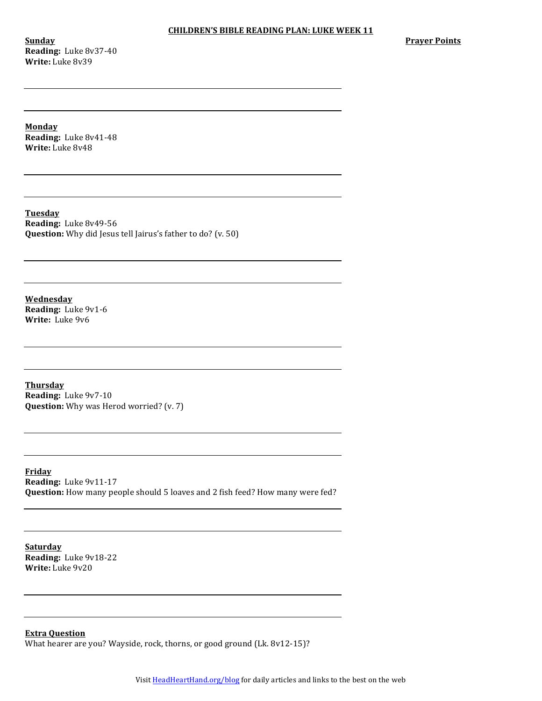**Sunday Reading:** Luke 8v37-40 **Write:** Luke 8v39

**Prayer Points** 

**Monday**

**Reading:** Luke 8v41-48 **Write:** Luke 8v48

**Tuesday Reading:** Luke 8v49-56 **Question:** Why did Jesus tell Jairus's father to do? (v. 50)

**Wednesday Reading:** Luke 9v1-6 **Write:** Luke 9v6

**Thursday Reading:** Luke 9v7-10 **Question:** Why was Herod worried? (v. 7)

**Friday Reading:** Luke 9v11-17 **Question:** How many people should 5 loaves and 2 fish feed? How many were fed?

**Saturday Reading:** Luke 9v18-22 **Write:** Luke  $9v20$ 

**Extra Question**

What hearer are you? Wayside, rock, thorns, or good ground (Lk. 8v12-15)?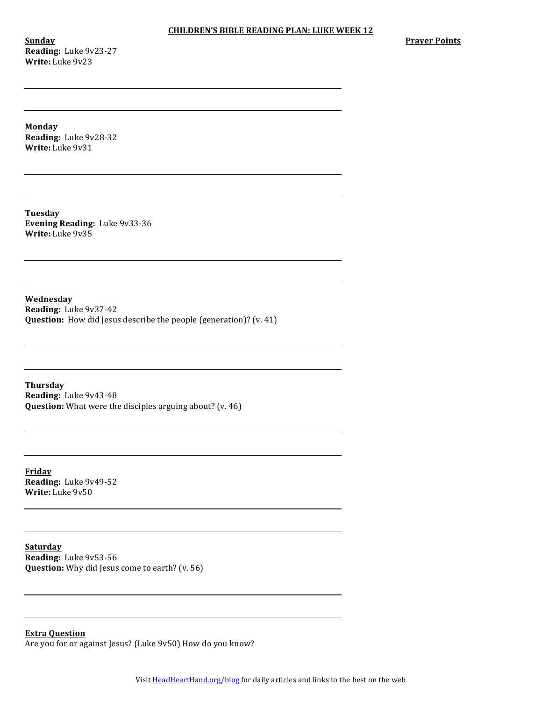**Sunday Reading:** Luke 9v23-27 **Write:** Luke 9v23

**Prayer Points** 

**Monday**

**Reading:** Luke 9v28-32 **Write:** Luke 9v31

**Tuesday Evening Reading:** Luke 9v33-36 **Write:** Luke 9v35

**Wednesday Reading:** Luke 9v37-42 **Question:** How did Jesus describe the people (generation)? (v. 41)

**Thursday Reading:** Luke 9v43-48 **Question:** What were the disciples arguing about? (v. 46)

**Friday Reading:** Luke 9v49-52 **Write:** Luke  $9v50$ 

**Saturday Reading:** Luke 9v53-56 **Question:** Why did Jesus come to earth? (v. 56)

# **Extra Question**

Are you for or against Jesus? (Luke 9v50) How do you know?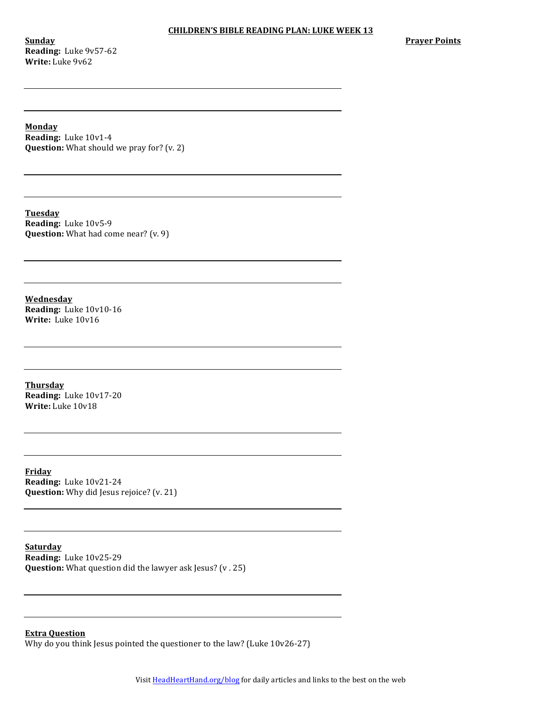**Sunday Reading:** Luke 9v57-62 **Write:** Luke 9v62

**Prayer Points** 

**Monday**

**Reading:** Luke 10v1-4 **Question:** What should we pray for? (v. 2)

**Tuesday Reading:** Luke 10v5-9 **Question:** What had come near? (v. 9)

**Wednesday Reading:** Luke 10v10-16 **Write:** Luke 10v16

**Thursday Reading:** Luke 10v17-20 **Write:** Luke 10v18

**Friday Reading:** Luke 10v21-24 **Question:** Why did Jesus rejoice? (v. 21)

**Saturday Reading:** Luke 10v25-29 **Question:** What question did the lawyer ask Jesus? (v. 25)

### **Extra Question**

Why do you think Jesus pointed the questioner to the law? (Luke  $10v26-27$ )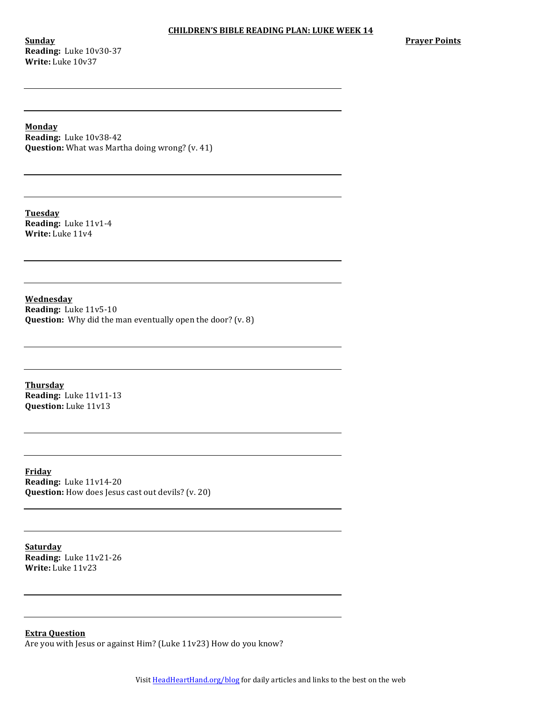**Sunday Reading:** Luke 10v30-37 **Write:** Luke 10v37

**Prayer Points** 

**Monday**

**Reading:** Luke 10v38-42 **Question:** What was Martha doing wrong? (v. 41)

**Tuesday Reading:** Luke 11v1-4 **Write:** Luke 11v4

**Wednesday Reading:** Luke 11v5-10 **Question:** Why did the man eventually open the door? (v. 8)

**Thursday Reading:** Luke 11v11-13 **Question:** Luke 11v13

**Friday Reading:** Luke 11v14-20 **Question:** How does Jesus cast out devils? (v. 20)

**Saturday Reading:** Luke 11v21-26 **Write:** Luke 11v23

## **Extra Question**

Are you with Jesus or against Him? (Luke 11v23) How do you know?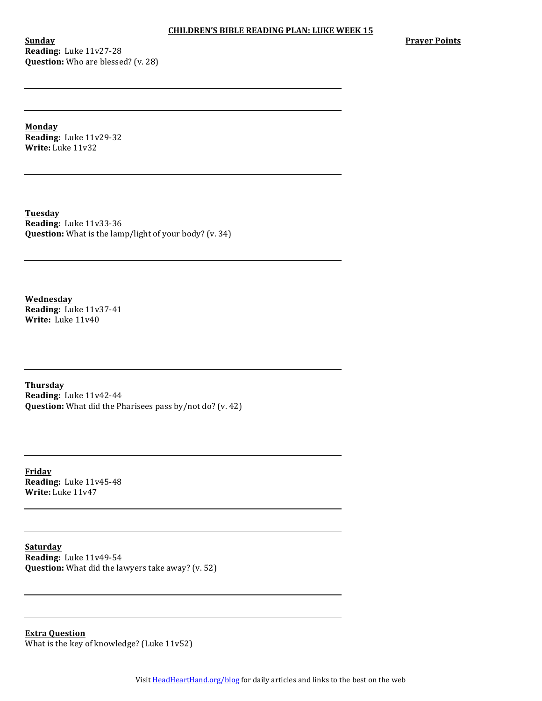**Sunday Reading:** Luke 11v27-28 **Question:** Who are blessed? (v. 28) **Prayer Points** 

**Monday Reading:** Luke 11v29-32 **Write:** Luke 11v32

**Tuesday Reading:** Luke 11v33-36 **Question:** What is the lamp/light of your body? (v. 34)

**Wednesday Reading:** Luke 11v37-41 **Write:** Luke 11v40

**Thursday Reading:** Luke 11v42-44 **Question:** What did the Pharisees pass by/not do? (v. 42)

**Friday Reading:** Luke 11v45-48 **Write:** Luke 11v47

**Saturday Reading:** Luke 11v49-54 **Question:** What did the lawyers take away? (v. 52)

**Extra Question** What is the key of knowledge? (Luke  $11v52$ )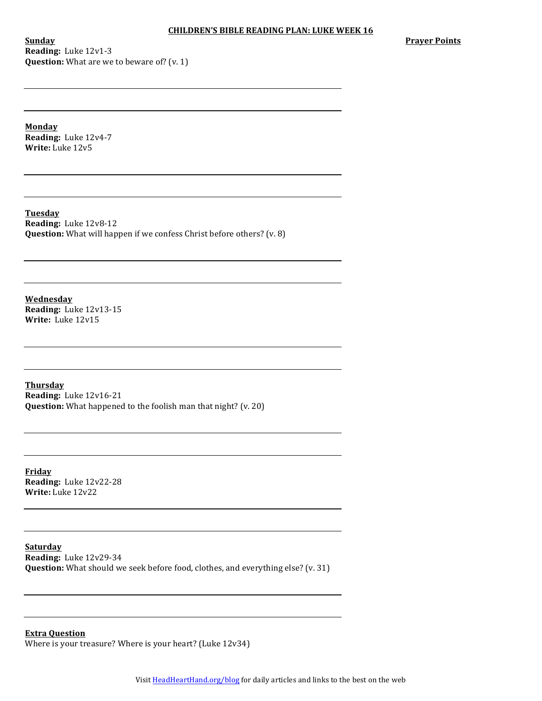**Sunday Reading:** Luke 12v1-3 **Question:** What are we to beware of? (v. 1) **Prayer Points** 

**Monday Reading:** Luke 12v4-7 **Write:** Luke 12v5

**Tuesday Reading:** Luke 12v8-12 **Question:** What will happen if we confess Christ before others? (v. 8)

**Wednesday Reading:** Luke 12v13-15 **Write:** Luke 12v15

**Thursday Reading:** Luke 12v16-21 **Question:** What happened to the foolish man that night? (v. 20)

**Friday Reading:** Luke 12v22-28 **Write:** Luke 12v22

**Saturday Reading:** Luke 12v29-34 **Question:** What should we seek before food, clothes, and everything else? (v. 31)

**Extra Question**

Where is your treasure? Where is your heart? (Luke 12v34)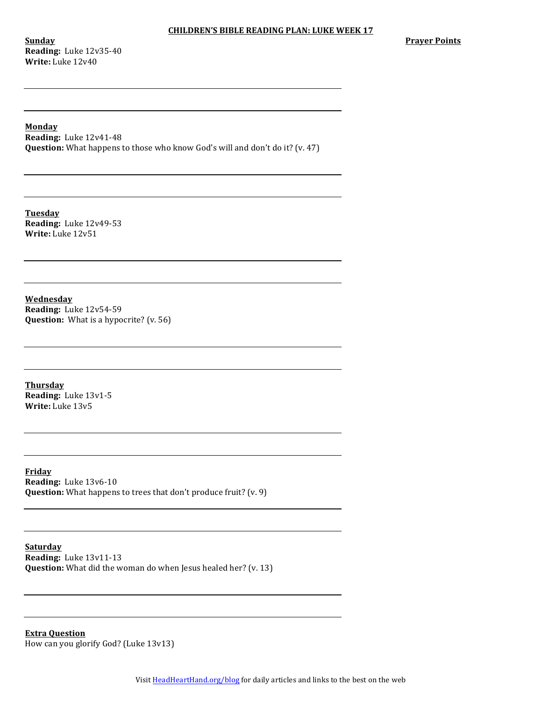**Sunday Reading:** Luke 12v35-40 **Write:** Luke 12v40

#### **Monday**

**Reading:** Luke 12v41-48 **Question:** What happens to those who know God's will and don't do it? (v. 47)

**Tuesday Reading:** Luke 12v49-53 **Write:** Luke 12v51

**Wednesday Reading:** Luke 12v54-59 **Question:** What is a hypocrite? (v. 56)

**Thursday Reading:** Luke 13v1-5 **Write:** Luke 13v5

**Friday Reading:** Luke 13v6-10 **Question:** What happens to trees that don't produce fruit? (v. 9)

**Saturday Reading:** Luke 13v11-13 **Question:** What did the woman do when Jesus healed her? (v. 13)

**Extra Question** How can you glorify God? (Luke 13v13)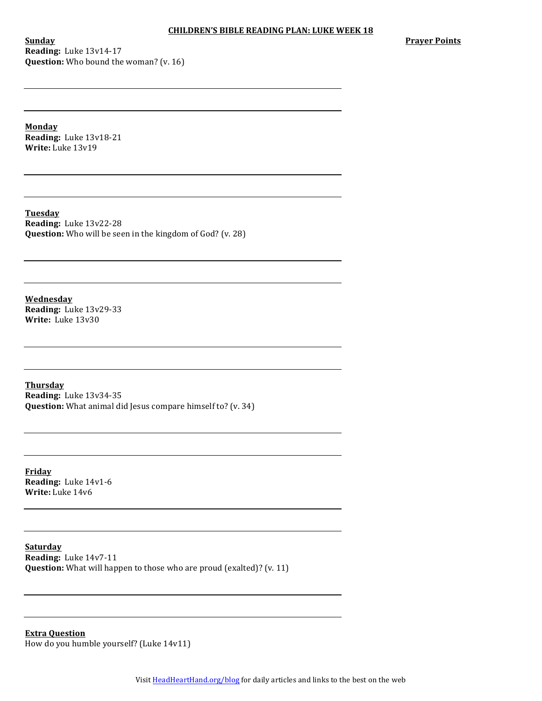**Sunday Reading:** Luke 13v14-17 **Question:** Who bound the woman? (v. 16) **Prayer Points** 

**Monday Reading:** Luke 13v18-21 **Write:** Luke 13v19

**Tuesday Reading:** Luke 13v22-28 **Question:** Who will be seen in the kingdom of God? (v. 28)

**Wednesday Reading:** Luke 13v29-33 **Write:** Luke 13v30

**Thursday Reading:** Luke 13v34-35 **Question:** What animal did Jesus compare himself to? (v. 34)

**Friday Reading:** Luke 14v1-6 **Write:** Luke 14v6

**Saturday Reading:** Luke 14v7-11 **Question:** What will happen to those who are proud (exalted)? (v. 11)

**Extra Question** How do you humble yourself? (Luke 14v11)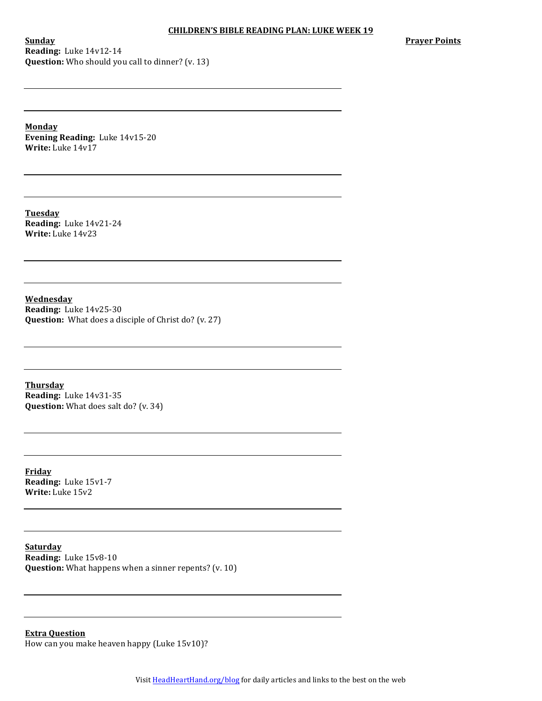**Sunday Reading:** Luke 14v12-14 **Question:** Who should you call to dinner? (v. 13) **Prayer Points** 

**Monday Evening Reading:** Luke 14v15-20 **Write:** Luke 14v17

**Tuesday Reading:** Luke 14v21-24 **Write:** Luke 14v23

**Wednesday Reading:** Luke 14v25-30 **Question:** What does a disciple of Christ do? (v. 27)

**Thursday Reading:** Luke 14v31-35 **Question:** What does salt do? (v. 34)

**Friday Reading:** Luke 15v1-7 **Write:** Luke 15v2

**Saturday Reading:** Luke 15v8-10 **Question:** What happens when a sinner repents? (v. 10)

**Extra Question** How can you make heaven happy (Luke 15v10)?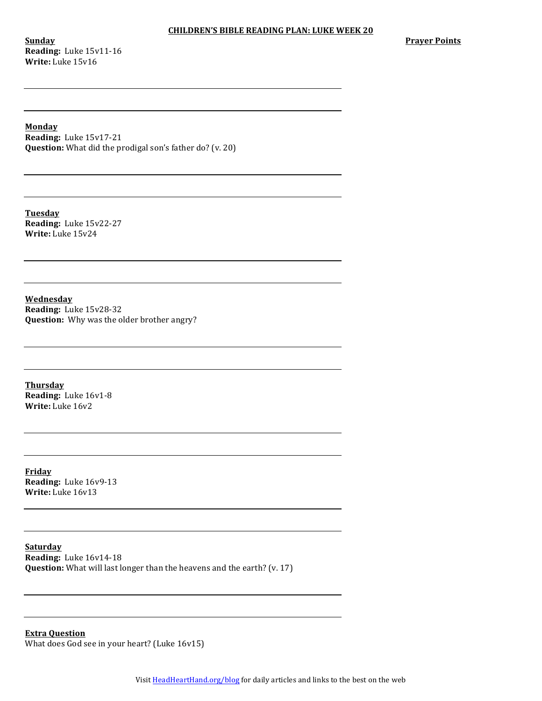**Sunday Reading:** Luke 15v11-16 **Write:** Luke 15v16

**Prayer Points** 

## **Monday**

**Reading:** Luke 15v17-21 **Question:** What did the prodigal son's father do? (v. 20)

**Tuesday Reading:** Luke 15v22-27 **Write:** Luke 15v24

**Wednesday Reading:** Luke 15v28-32 **Question:** Why was the older brother angry?

**Thursday Reading:** Luke 16v1-8 **Write:** Luke 16v2

**Friday Reading:** Luke 16v9-13 **Write:** Luke 16v13

**Saturday Reading:** Luke 16v14-18 **Question:** What will last longer than the heavens and the earth? (v. 17)

**Extra Question** What does God see in your heart? (Luke 16v15)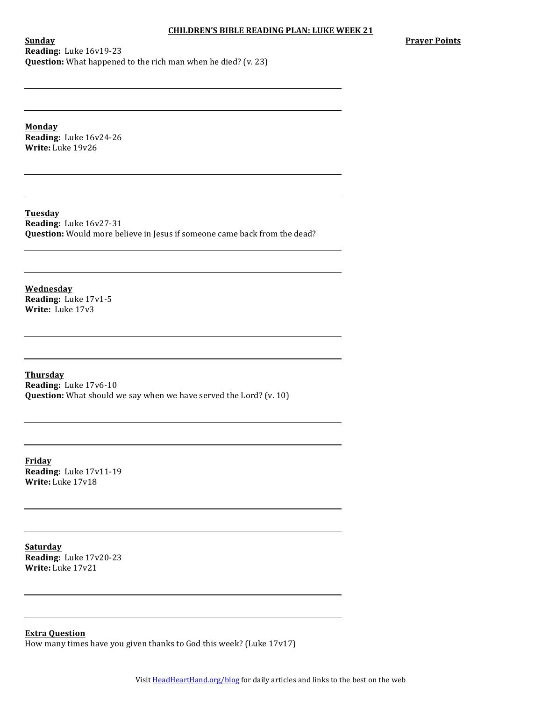**Prayer Points** 

**Sunday Reading:** Luke 16v19-23 **Question:** What happened to the rich man when he died? (v. 23)

**Monday**

**Reading:** Luke 16v24-26 **Write:** Luke 19v26

**Tuesday Reading:** Luke 16v27-31 **Question:** Would more believe in Jesus if someone came back from the dead?

**Wednesday Reading:** Luke 17v1-5 **Write:** Luke 17v3

**Thursday Reading:** Luke 17v6-10 **Question:** What should we say when we have served the Lord? (v. 10)

**Friday Reading:** Luke 17v11-19 **Write:** Luke 17v18

**Saturday Reading:** Luke 17v20-23 **Write:** Luke 17v21

**Extra Question**

How many times have you given thanks to God this week? (Luke  $17v17$ )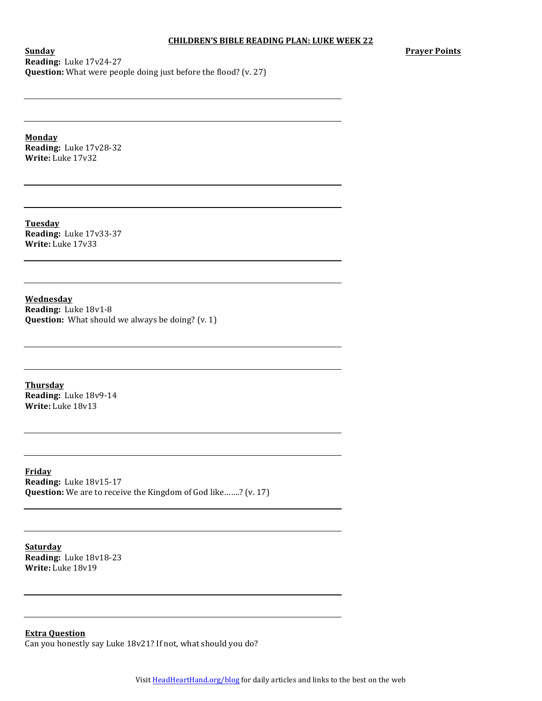**Prayer Points**

**Sunday Reading:** Luke 17v24-27 **Question:** What were people doing just before the flood? (v. 27)

**Monday Reading:** Luke 17v28-32 **Write:** Luke 17v32

**Tuesday Reading:** Luke 17v33-37 **Write:** Luke 17v33

**Wednesday Reading:** Luke 18v1-8 **Question:** What should we always be doing? (v. 1)

**Thursday Reading:** Luke 18v9-14 **Write:** Luke 18v13

**Friday Reading:** Luke 18v15-17 **Question:** We are to receive the Kingdom of God like…….? (v. 17)

**Saturday Reading:** Luke 18v18-23 **Write:** Luke 18v19

**Extra Question**

Can you honestly say Luke 18v21? If not, what should you do?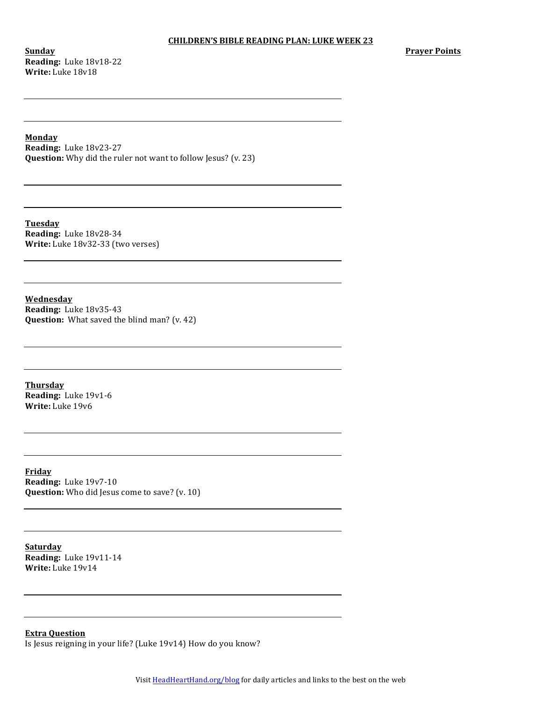**Sunday Reading:** Luke 18v18-22 **Write:** Luke 18v18

#### **Monday**

**Reading:** Luke 18v23-27 **Question:** Why did the ruler not want to follow Jesus? (v. 23)

**Tuesday Reading:** Luke 18v28-34 **Write:** Luke 18v32-33 (two verses)

**Wednesday Reading:** Luke 18v35-43 **Question:** What saved the blind man? (v. 42)

**Thursday Reading:** Luke 19v1-6 **Write:** Luke 19v6

**Friday Reading:** Luke 19v7-10 **Question:** Who did Jesus come to save? (v. 10)

**Saturday Reading:** Luke 19v11-14 **Write:** Luke 19v14

### **Extra Question**

Is Jesus reigning in your life? (Luke 19v14) How do you know?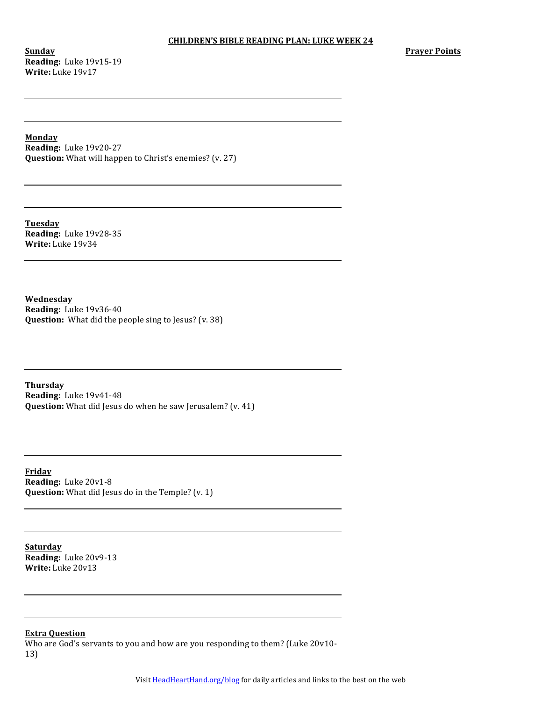**Sunday Reading:** Luke 19v15-19 **Write:** Luke 19v17

**Monday**

**Reading:** Luke 19v20-27 **Question:** What will happen to Christ's enemies? (v. 27)

**Tuesday Reading:** Luke 19v28-35 **Write:** Luke 19v34

**Wednesday Reading:** Luke 19v36-40 **Question:** What did the people sing to Jesus? (v. 38)

**Thursday Reading:** Luke 19v41-48 **Question:** What did Jesus do when he saw Jerusalem? (v. 41)

**Friday Reading:** Luke 20v1-8 **Question:** What did Jesus do in the Temple? (v. 1)

**Saturday Reading:** Luke 20v9-13 **Write:** Luke 20v13

# **Extra Question**

Who are God's servants to you and how are you responding to them? (Luke 20v10-13)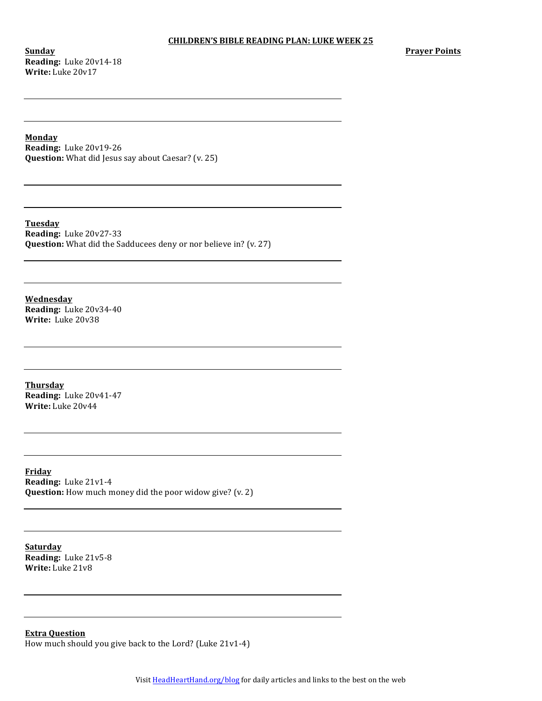**Sunday Reading:** Luke 20v14-18 **Write:** Luke 20v17

**Monday**

**Reading:** Luke 20v19-26 **Question:** What did Jesus say about Caesar? (v. 25)

**Tuesday Reading:** Luke 20v27-33 **Question:** What did the Sadducees deny or nor believe in? (v. 27)

**Wednesday Reading:** Luke 20v34-40 **Write:** Luke 20v38

**Thursday Reading:** Luke 20v41-47 **Write:** Luke 20v44

**Friday Reading:** Luke 21v1-4 **Question:** How much money did the poor widow give? (v. 2)

**Saturday Reading:** Luke 21v5-8 **Write:** Luke 21v8

**Extra Question**

How much should you give back to the Lord? (Luke  $21v1-4$ )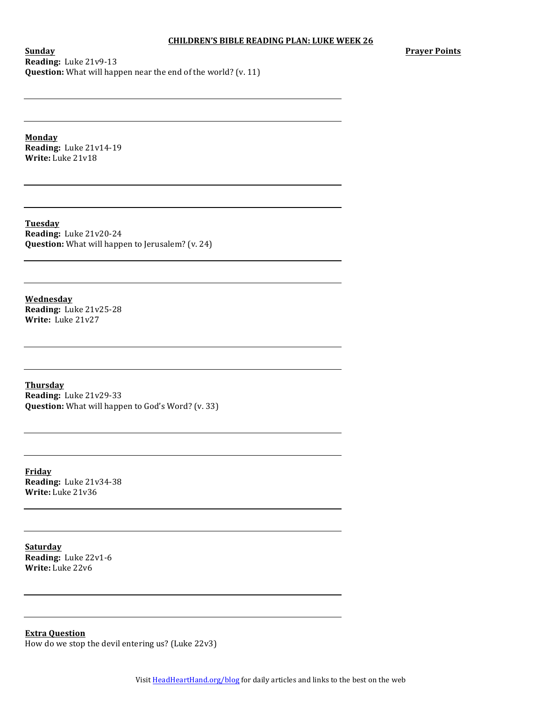**Prayer Points**

**Sunday Reading:** Luke 21v9-13 **Question:** What will happen near the end of the world? (v. 11)

**Monday Reading:** Luke 21v14-19 **Write:** Luke 21v18

**Tuesday Reading:** Luke 21v20-24 **Question:** What will happen to Jerusalem? (v. 24)

**Wednesday Reading:** Luke 21v25-28 **Write:** Luke 21v27

**Thursday Reading:** Luke 21v29-33 **Question:** What will happen to God's Word? (v. 33)

**Friday Reading:** Luke 21v34-38 **Write:** Luke 21v36

**Saturday Reading:** Luke 22v1-6 **Write:** Luke 22v6

**Extra Question** How do we stop the devil entering us? (Luke  $22v3$ )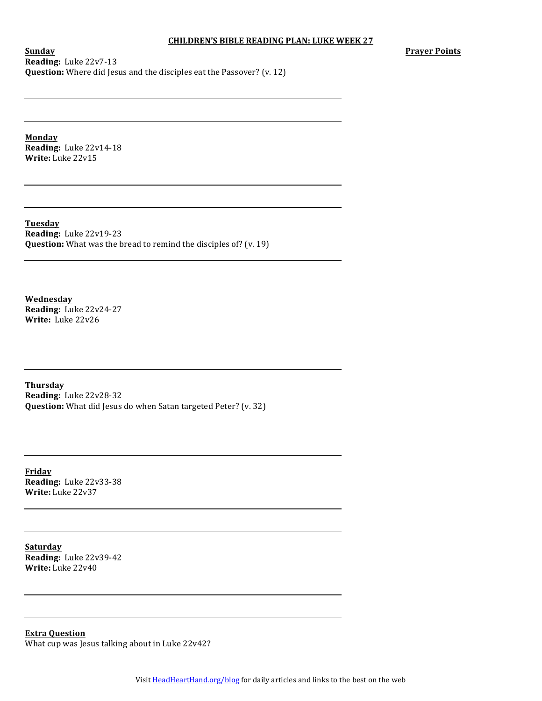**Prayer Points**

**Sunday Reading:** Luke 22v7-13 **Question:** Where did Jesus and the disciples eat the Passover? (v. 12)

**Monday Reading:** Luke 22v14-18 **Write:** Luke 22v15

**Tuesday Reading:** Luke 22v19-23 **Question:** What was the bread to remind the disciples of? (v. 19)

**Wednesday Reading:** Luke 22v24-27 **Write:** Luke 22v26

**Thursday Reading:** Luke 22v28-32 **Question:** What did Jesus do when Satan targeted Peter? (v. 32)

**Friday Reading:** Luke 22v33-38 **Write:** Luke 22v37

**Saturday Reading:** Luke 22v39-42 **Write:** Luke 22v40

**Extra Question** What cup was Jesus talking about in Luke 22v42?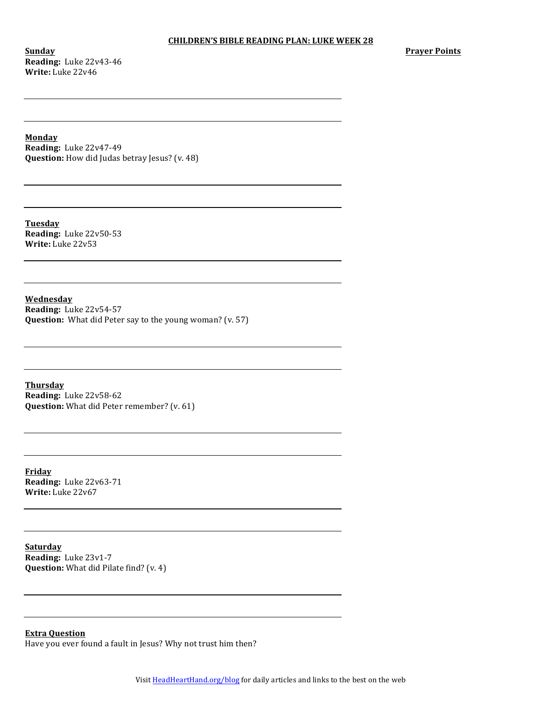**Sunday Reading:** Luke 22v43-46 **Write:** Luke 22v46

**Monday**

**Reading:** Luke 22v47-49 **Question:** How did Judas betray Jesus? (v. 48)

**Tuesday Reading:** Luke 22v50-53 **Write:** Luke 22v53

**Wednesday Reading:** Luke 22v54-57 **Question:** What did Peter say to the young woman? (v. 57)

**Thursday Reading:** Luke 22v58-62 **Question:** What did Peter remember? (v. 61)

**Friday Reading:** Luke 22v63-71 **Write:** Luke 22v67

**Saturday Reading:** Luke 23v1-7 **Question:** What did Pilate find? (v. 4)

### **Extra Question**

Have you ever found a fault in Jesus? Why not trust him then?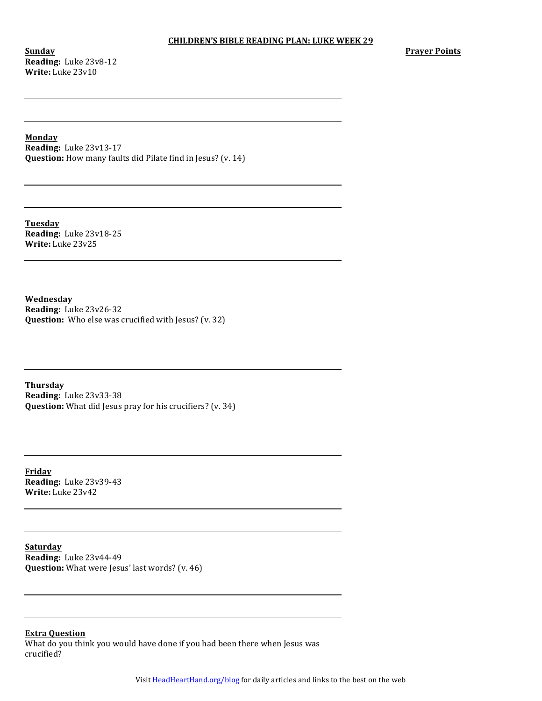**Sunday Reading:** Luke 23v8-12 **Write:** Luke 23v10

#### **Monday**

**Reading:** Luke 23v13-17 **Question:** How many faults did Pilate find in Jesus? (v. 14)

**Tuesday Reading:** Luke 23v18-25 **Write:** Luke 23v25

**Wednesday Reading:** Luke 23v26-32 **Question:** Who else was crucified with Jesus? (v. 32)

**Thursday Reading:** Luke 23v33-38 **Question:** What did Jesus pray for his crucifiers? (v. 34)

**Friday Reading:** Luke 23v39-43 **Write:** Luke 23v42

**Saturday Reading:** Luke 23v44-49 **Question:** What were Jesus' last words? (v. 46)

## **Extra Question**

What do you think you would have done if you had been there when Jesus was crucified?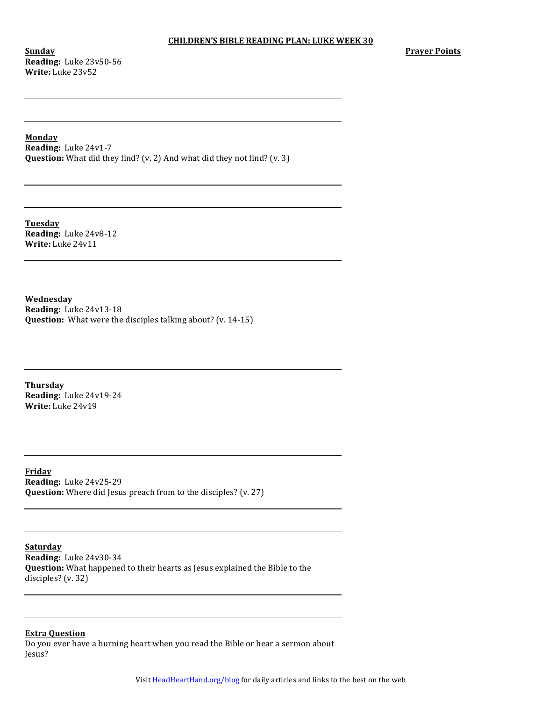**Sunday Reading:** Luke 23v50-56 **Write:** Luke 23v52

#### **Monday**

**Reading:** Luke 24v1-7 **Question:** What did they find? (v. 2) And what did they not find? (v. 3)

**Tuesday Reading:** Luke 24v8-12 **Write:** Luke 24v11

**Wednesday**

**Reading:** Luke 24v13-18 **Question:** What were the disciples talking about? (v. 14-15)

**Thursday Reading:** Luke 24v19-24 **Write:** Luke 24v19

**Friday Reading:** Luke 24v25-29 **Question:** Where did Jesus preach from to the disciples? (v. 27)

**Saturday Reading:** Luke 24v30-34 **Question:** What happened to their hearts as Jesus explained the Bible to the disciples?  $(v. 32)$ 

**Extra Question**

Do you ever have a burning heart when you read the Bible or hear a sermon about Jesus?